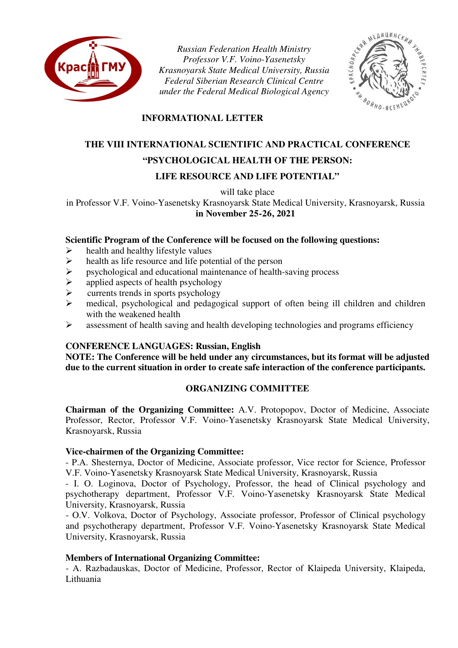

*Russian Federation Health Ministry Professor V.F. Voino-Yasenetsky Krasnoyarsk State Medical University, Russia Federal Siberian Research Clinical Centre under the Federal Medical Biological Agency* 



## **INFORMATIONAL LETTER**

# **THE VIII INTERNATIONAL SCIENTIFIC AND PRACTICAL CONFERENCE "PSYCHOLOGICAL HEALTH OF THE PERSON: LIFE RESOURCE AND LIFE POTENTIAL"**

will take place

in Professor V.F. Voino-Yasenetsky Krasnoyarsk State Medical University, Krasnoyarsk, Russia **in November 25-26, 2021** 

## **Scientific Program of the Conference will be focused on the following questions:**

- $\triangleright$  health and healthy lifestyle values
- $\triangleright$  health as life resource and life potential of the person
- $\triangleright$  psychological and educational maintenance of health-saving process applied aspects of health psychology
- applied aspects of health psychology
- $\triangleright$  currents trends in sports psychology
- medical, psychological and pedagogical support of often being ill children and children with the weakened health
- $\triangleright$  assessment of health saving and health developing technologies and programs efficiency

## **CONFERENCE LANGUAGES: Russian, English**

**NOTE: The Conference will be held under any circumstances, but its format will be adjusted due to the current situation in order to create safe interaction of the conference participants.**

## **ORGANIZING COMMITTEE**

**Chairman of the Organizing Committee:** A.V. Protopopov, Doctor of Medicine, Associate Professor, Rector, Professor V.F. Voino-Yasenetsky Krasnoyarsk State Medical University, Krasnoyarsk, Russia

## **Vice-chairmen of the Organizing Committee:**

- P.A. Shesternya, Doctor of Medicine, Associate professor, Vice rector for Science, Professor V.F. Voino-Yasenetsky Krasnoyarsk State Medical University, Krasnoyarsk, Russia

- I. O. Loginova, Doctor of Psychology, Professor, the head of Clinical psychology and psychotherapy department, Professor V.F. Voino-Yasenetsky Krasnoyarsk State Medical University, Krasnoyarsk, Russia

- O.V. Volkova, Doctor of Psychology, Associate professor, Professor of Clinical psychology and psychotherapy department, Professor V.F. Voino-Yasenetsky Krasnoyarsk State Medical University, Krasnoyarsk, Russia

## **Members of International Organizing Committee:**

- A. Razbadauskas, Doctor of Medicine, Professor, Rector of Klaipeda University, Klaipeda, Lithuania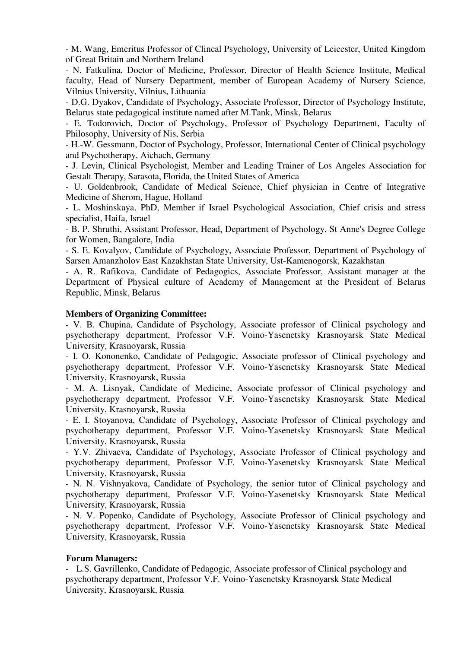- M. Wang, Emeritus Professor of Clincal Psychology, University of Leicester, United Kingdom of Great Britain and Northern Ireland

- N. Fatkulina, Doctor of Medicine, Professor, Director of Health Science Institute, Medical faculty, Head of Nursery Department, member of European Academy of Nursery Science, Vilnius University, Vilnius, Lithuania

- D.G. Dyakov, Candidate of Psychology, Associate Professor, Director of Psychology Institute, Belarus state pedagogical institute named after M.Tank, Minsk, Belarus

- E. Todorovich, Doctor of Psychology, Professor of Psychology Department, Faculty of Philosophy, University of Nis, Serbia

- H.-W. Gessmann, Doctor of Psychology, Professor, International Center of Clinical psychology and Psychotherapy, Aichach, Germany

- J. Levin, Clinical Psychologist, Member and Leading Trainer of Los Angeles Association for Gestalt Therapy, Sarasota, Florida, the United States of America

- U. Goldenbrook, Candidate of Medical Science, Chief physician in Centre of Integrative Medicine of Sherom, Hague, Holland

- L. Moshinskaya, PhD, Member if Israel Psychological Association, Chief crisis and stress specialist, Haifa, Israel

- B. P. Shruthi, Assistant Professor, Head, Department of Psychology, St Anne's Degree College for Women, Bangalore, India

- S. E. Kovalyov, Candidate of Psychology, Associate Professor, Department of Psychology of Sarsen Amanzholov East Kazakhstan State University, Ust-Kamenogorsk, Kazakhstan

- A. R. Rafikova, Candidate of Pedagogics, Associate Professor, Assistant manager at the Department of Physical culture of Academy of Management at the President of Belarus Republic, Minsk, Belarus

#### **Members of Organizing Committee:**

- V. B. Chupina, Candidate of Psychology, Associate professor of Clinical psychology and psychotherapy department, Professor V.F. Voino-Yasenetsky Krasnoyarsk State Medical University, Krasnoyarsk, Russia

- I. O. Kononenko, Candidate of Pedagogic, Associate professor of Clinical psychology and psychotherapy department, Professor V.F. Voino-Yasenetsky Krasnoyarsk State Medical University, Krasnoyarsk, Russia

- M. A. Lisnyak, Candidate of Medicine, Associate professor of Clinical psychology and psychotherapy department, Professor V.F. Voino-Yasenetsky Krasnoyarsk State Medical University, Krasnoyarsk, Russia

- E. I. Stoyanova, Candidate of Psychology, Associate Professor of Clinical psychology and psychotherapy department, Professor V.F. Voino-Yasenetsky Krasnoyarsk State Medical University, Krasnoyarsk, Russia

- Y.V. Zhivaeva, Candidate of Psychology, Associate Professor of Clinical psychology and psychotherapy department, Professor V.F. Voino-Yasenetsky Krasnoyarsk State Medical University, Krasnoyarsk, Russia

- N. N. Vishnyakova, Candidate of Psychology, the senior tutor of Clinical psychology and psychotherapy department, Professor V.F. Voino-Yasenetsky Krasnoyarsk State Medical University, Krasnoyarsk, Russia

- N. V. Popenko, Candidate of Psychology, Associate Professor of Clinical psychology and psychotherapy department, Professor V.F. Voino-Yasenetsky Krasnoyarsk State Medical University, Krasnoyarsk, Russia

#### **Forum Managers:**

- L.S. Gavrillenko, Candidate of Pedagogic, Associate professor of Clinical psychology and psychotherapy department, Professor V.F. Voino-Yasenetsky Krasnoyarsk State Medical University, Krasnoyarsk, Russia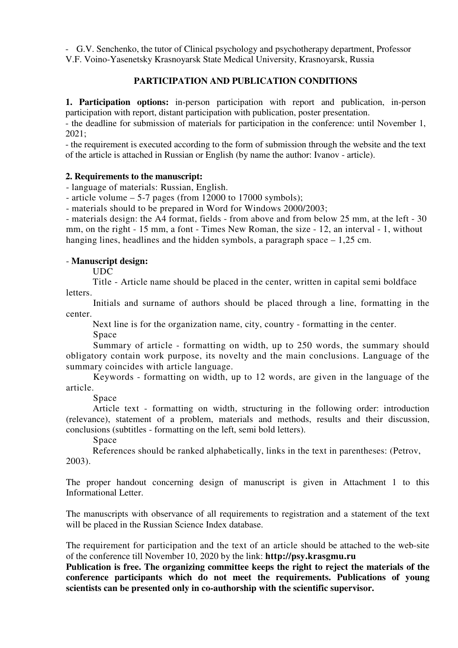- G.V. Senchenko, the tutor of Clinical psychology and psychotherapy department, Professor V.F. Voino-Yasenetsky Krasnoyarsk State Medical University, Krasnoyarsk, Russia

## **PARTICIPATION AND PUBLICATION CONDITIONS**

**1. Participation options:** in-person participation with report and publication, in-person participation with report, distant participation with publication, poster presentation.

- the deadline for submission of materials for participation in the conference: until November 1, 2021;

- the requirement is executed according to the form of submission through the website and the text of the article is attached in Russian or English (by name the author: Ivanov - article).

## **2. Requirements to the manuscript:**

- language of materials: Russian, English.

- article volume – 5-7 pages (from 12000 to 17000 symbols);

- materials should to be prepared in Word for Windows 2000/2003;

- materials design: the A4 format, fields - from above and from below 25 mm, at the left - 30 mm, on the right - 15 mm, a font - Times New Roman, the size - 12, an interval - 1, without hanging lines, headlines and the hidden symbols, a paragraph space  $-1.25$  cm.

#### - **Manuscript design:**

UDC

 Title - Article name should be placed in the center, written in capital semi boldface letters.

Initials and surname of authors should be placed through a line, formatting in the center.

 Next line is for the organization name, city, country - formatting in the center. Space

Summary of article - formatting on width, up to 250 words, the summary should obligatory contain work purpose, its novelty and the main conclusions. Language of the summary coincides with article language.

Keywords - formatting on width, up to 12 words, are given in the language of the article.

Space

 Article text - formatting on width, structuring in the following order: introduction (relevance), statement of a problem, materials and methods, results and their discussion, conclusions (subtitles - formatting on the left, semi bold letters).

Space

References should be ranked alphabetically, links in the text in parentheses: (Petrov,

2003).

The proper handout concerning design of manuscript is given in Attachment 1 to this Informational Letter.

The manuscripts with observance of all requirements to registration and a statement of the text will be placed in the Russian Science Index database.

The requirement for participation and the text of an article should be attached to the web-site of the conference till November 10, 2020 by the link: **http://psy.krasgmu.ru** 

**Publication is free. The organizing committee keeps the right to reject the materials of the conference participants which do not meet the requirements. Publications of young scientists can be presented only in co-authorship with the scientific supervisor.**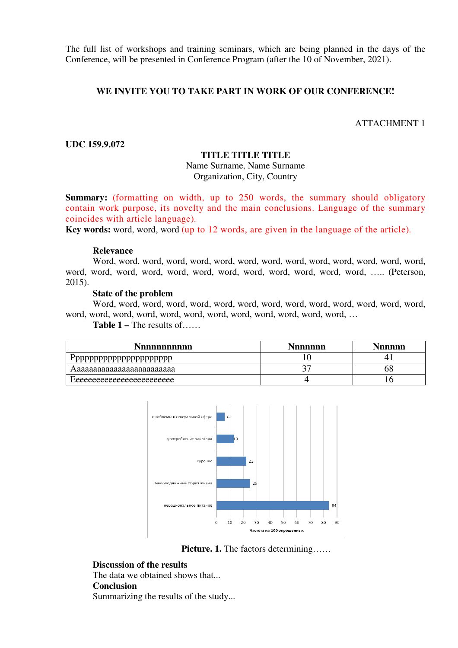The full list of workshops and training seminars, which are being planned in the days of the Conference, will be presented in Conference Program (after the 10 of November, 2021).

#### **WE INVITE YOU TO TAKE PART IN WORK OF OUR CONFERENCE!**

ATTACHMENT 1

**UDC 159.9.072** 

## **TITLE TITLE TITLE**

Name Surname, Name Surname Organization, City, Country

**Summary:** (formatting on width, up to 250 words, the summary should obligatory contain work purpose, its novelty and the main conclusions. Language of the summary coincides with article language).

**Key words:** word, word, word (up to 12 words, are given in the language of the article).

#### **Relevance**

Word, word, word, word, word, word, word, word, word, word, word, word, word, word, word, word, word, word, word, word, word, word, word, word, word, word, ….. (Peterson, 2015).

#### **State of the problem**

Word, word, word, word, word, word, word, word, word, word, word, word, word, word, word, word, word, word, word, word, word, word, word, word, word, word, …

**Table 1 –** The results of……

| <b>Nnnnnnnnnn</b>             | <b>Nnnnnnn</b> | Nnnnnn |
|-------------------------------|----------------|--------|
| Pppppppppppppppppppppp        |                | ∸      |
| Ааааааааааааааааааааааа       |                | DΟ     |
| <i>Eeeeeeeeeeeeeeeeeeeeee</i> |                |        |



**Picture. 1.** The factors determining……

## **Discussion of the results**

The data we obtained shows that... **Conclusion**  Summarizing the results of the study...